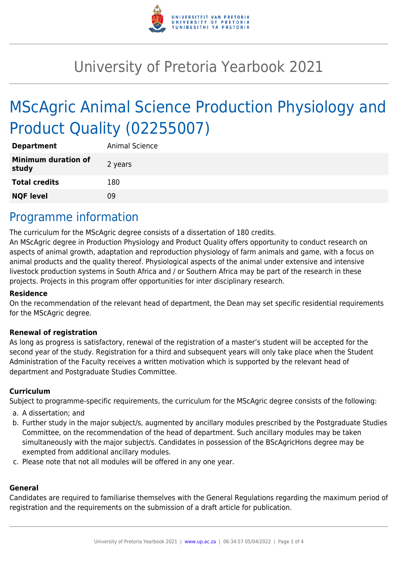

# University of Pretoria Yearbook 2021

# MScAgric Animal Science Production Physiology and Product Quality (02255007)

| <b>Department</b>                   | Animal Science |
|-------------------------------------|----------------|
| <b>Minimum duration of</b><br>study | 2 years        |
| <b>Total credits</b>                | 180            |
| <b>NQF level</b>                    | ng             |

### Programme information

The curriculum for the MScAgric degree consists of a dissertation of 180 credits.

An MScAgric degree in Production Physiology and Product Quality offers opportunity to conduct research on aspects of animal growth, adaptation and reproduction physiology of farm animals and game, with a focus on animal products and the quality thereof. Physiological aspects of the animal under extensive and intensive livestock production systems in South Africa and / or Southern Africa may be part of the research in these projects. Projects in this program offer opportunities for inter disciplinary research.

#### **Residence**

On the recommendation of the relevant head of department, the Dean may set specific residential requirements for the MScAgric degree.

#### **Renewal of registration**

As long as progress is satisfactory, renewal of the registration of a master's student will be accepted for the second year of the study. Registration for a third and subsequent years will only take place when the Student Administration of the Faculty receives a written motivation which is supported by the relevant head of department and Postgraduate Studies Committee.

#### **Curriculum**

Subject to programme-specific requirements, the curriculum for the MScAgric degree consists of the following:

- a. A dissertation; and
- b. Further study in the major subject/s, augmented by ancillary modules prescribed by the Postgraduate Studies Committee, on the recommendation of the head of department. Such ancillary modules may be taken simultaneously with the major subject/s. Candidates in possession of the BScAgricHons degree may be exempted from additional ancillary modules.
- c. Please note that not all modules will be offered in any one year.

#### **General**

Candidates are required to familiarise themselves with the General Regulations regarding the maximum period of registration and the requirements on the submission of a draft article for publication.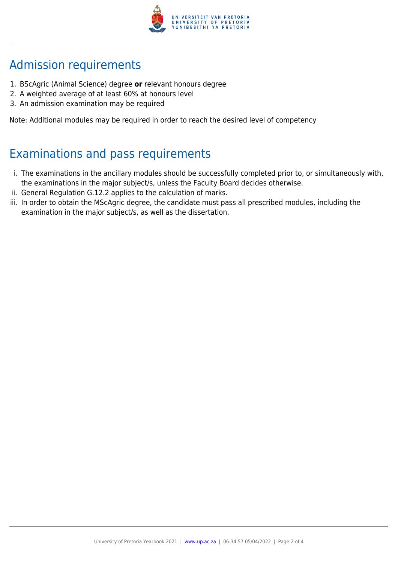

## Admission requirements

- 1. BScAgric (Animal Science) degree **or** relevant honours degree
- 2. A weighted average of at least 60% at honours level
- 3. An admission examination may be required

Note: Additional modules may be required in order to reach the desired level of competency

## Examinations and pass requirements

- i. The examinations in the ancillary modules should be successfully completed prior to, or simultaneously with, the examinations in the major subject/s, unless the Faculty Board decides otherwise.
- ii. General Regulation G.12.2 applies to the calculation of marks.
- iii. In order to obtain the MScAgric degree, the candidate must pass all prescribed modules, including the examination in the major subject/s, as well as the dissertation.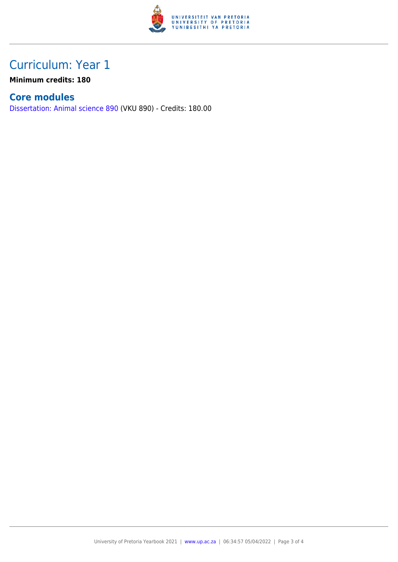

## Curriculum: Year 1

**Minimum credits: 180**

### **Core modules**

[Dissertation: Animal science 890](https://www.up.ac.za/yearbooks/2021/modules/view/VKU 890) (VKU 890) - Credits: 180.00